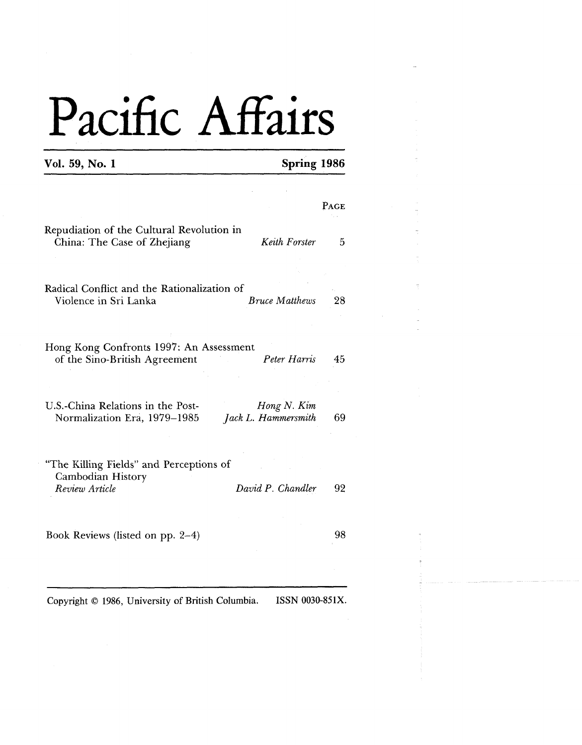### **Vol. 59, No. 1**

|                                                                                                         | PAGE |
|---------------------------------------------------------------------------------------------------------|------|
| Repudiation of the Cultural Revolution in<br>China: The Case of Zhejiang<br>Keith Forster               | 5    |
|                                                                                                         |      |
| Radical Conflict and the Rationalization of<br>Violence in Sri Lanka<br><b>Bruce Matthews</b>           | 28   |
| Hong Kong Confronts 1997: An Assessment                                                                 |      |
| Peter Harris<br>of the Sino-British Agreement                                                           | 45   |
|                                                                                                         |      |
| U.S.-China Relations in the Post-<br>Hong N. Kim<br>Jack L. Hammersmith<br>Normalization Era, 1979-1985 | 69   |
| "The Killing Fields" and Perceptions of<br>Cambodian History                                            |      |
| David P. Chandler<br>Review Article                                                                     | 92   |
|                                                                                                         |      |
| Book Reviews (listed on pp. 2–4)                                                                        | 98   |
|                                                                                                         |      |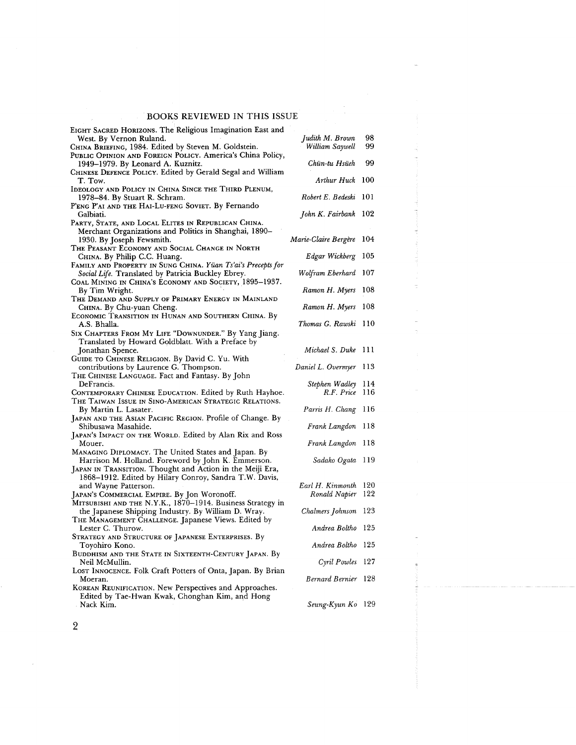| EIGHT SACRED HORIZONS. The Religious Imagination East and<br>West. By Vernon Ruland.            | Judith M. Brown        | 98   |
|-------------------------------------------------------------------------------------------------|------------------------|------|
| CHINA BRIEFING, 1984. Edited by Steven M. Goldstein.                                            | William Saywell        | 99   |
| PUBLIC OPINION AND FOREIGN POLICY. America's China Policy,                                      |                        |      |
| 1949–1979. By Leonard A. Kuznitz.<br>CHINESE DEFENCE POLICY. Edited by Gerald Segal and William | Chün-tu Hsüeh          | 99   |
| T. Tow.                                                                                         | Arthur Huck 100        |      |
| IDEOLOGY AND POLICY IN CHINA SINCE THE THIRD PLENUM,                                            |                        |      |
| 1978-84. By Stuart R. Schram.                                                                   | Robert E. Bedeski 101  |      |
| P'ENG P'AI AND THE HAI-LU-FENG SOVIET. By Fernando<br>Galbiati.                                 | John K. Fairbank 102   |      |
| PARTY, STATE, AND LOCAL ELITES IN REPUBLICAN CHINA.                                             |                        |      |
| Merchant Organizations and Politics in Shanghai, 1890–                                          |                        |      |
| 1930. By Joseph Fewsmith.                                                                       | Marie-Claire Bergère   | 104  |
| The Peasant Economy and Social Change in North                                                  |                        |      |
| CHINA. By Philip C.C. Huang.                                                                    | Edgar Wickberg         | 105  |
| FAMILY AND PROPERTY IN SUNG CHINA. Yüan Ts'ai's Precepts for                                    |                        |      |
| Social Life. Translated by Patricia Buckley Ebrey.                                              | Wolfram Eberhard 107   |      |
| Coal Mining in China's Economy and Society, 1895–1937.                                          |                        |      |
| By Tim Wright.                                                                                  | Ramon H. Myers         | 108  |
| The Demand and Supply of Primary Energy in Mainland                                             |                        |      |
| CHINA. By Chu-yuan Cheng.                                                                       | Ramon H. Myers 108     |      |
| ECONOMIC TRANSITION IN HUNAN AND SOUTHERN CHINA. By                                             |                        |      |
| A.S. Bhalla.                                                                                    | Thomas G. Rawski 110   |      |
| SIX CHAPTERS FROM MY LIFE "DOWNUNDER." By Yang Jiang.                                           |                        |      |
| Translated by Howard Goldblatt. With a Preface by                                               |                        |      |
| Jonathan Spence.                                                                                | Michael S. Duke 111    |      |
| GUIDE TO CHINESE RELIGION. By David C. Yu. With                                                 |                        |      |
| contributions by Laurence G. Thompson.                                                          | Daniel L. Overmyer 113 |      |
| THE CHINESE LANGUAGE. Fact and Fantasy. By John                                                 |                        |      |
| DeFrancis.                                                                                      | Stephen Wadley 114     |      |
| CONTEMPORARY CHINESE EDUCATION. Edited by Ruth Hayhoe.                                          | R.F. Price 116         |      |
| THE TAIWAN ISSUE IN SINO-AMERICAN STRATEGIC RELATIONS.                                          |                        |      |
| By Martin L. Lasater.                                                                           | Parris H. Chang 116    |      |
| JAPAN AND THE ASIAN PACIFIC REGION. Profile of Change. By                                       |                        |      |
| Shibusawa Masahide.                                                                             | Frank Langdon 118      |      |
| JAPAN'S IMPACT ON THE WORLD. Edited by Alan Rix and Ross                                        |                        |      |
| Mouer.                                                                                          | Frank Langdon 118      |      |
| MANAGING DIPLOMACY. The United States and Japan. By                                             |                        |      |
| Harrison M. Holland. Foreword by John K. Emmerson.                                              | Sadako Ogata           | -119 |
| JAPAN IN TRANSITION. Thought and Action in the Meiji Era,                                       |                        |      |
| 1868–1912. Edited by Hilary Conroy, Sandra T.W. Davis,                                          |                        |      |
| and Wayne Patterson.                                                                            | Earl H. Kinmonth 120   |      |
| Japan's Commercial Empire. By Jon Woronoff.                                                     | Ronald Napier          | 122  |
| MITSUBISHI AND THE N.Y.K., 1870-1914. Business Strategy in                                      |                        |      |
| the Japanese Shipping Industry. By William D. Wray.                                             | Chalmers Johnson 123   |      |
| THE MANAGEMENT CHALLENGE. Japanese Views. Edited by                                             |                        |      |
| Lester C. Thurow.                                                                               | Andrea Boltho 125      |      |
| STRATEGY AND STRUCTURE OF JAPANESE ENTERPRISES. By                                              |                        |      |
| Toyohiro Kono.                                                                                  | Andrea Boltho 125      |      |
| BUDDHISM AND THE STATE IN SIXTEENTH-CENTURY JAPAN. By                                           |                        |      |
| Neil McMullin.                                                                                  | Cyril Powles 127       |      |
| Lost Innocence. Folk Craft Potters of Onta, Japan. By Brian                                     |                        |      |
| Moeran.                                                                                         | Bernard Bernier 128    |      |
| KOREAN REUNIFICATION. New Perspectives and Approaches.                                          |                        |      |
| Edited by Tae-Hwan Kwak, Chonghan Kim, and Hong                                                 |                        |      |
| . Nack Kim.                                                                                     | Seung-Kyun Ko 129      |      |

 $\bar{\gamma}$ 

 $\sqrt{2}$ 

 $\bar{\beta}$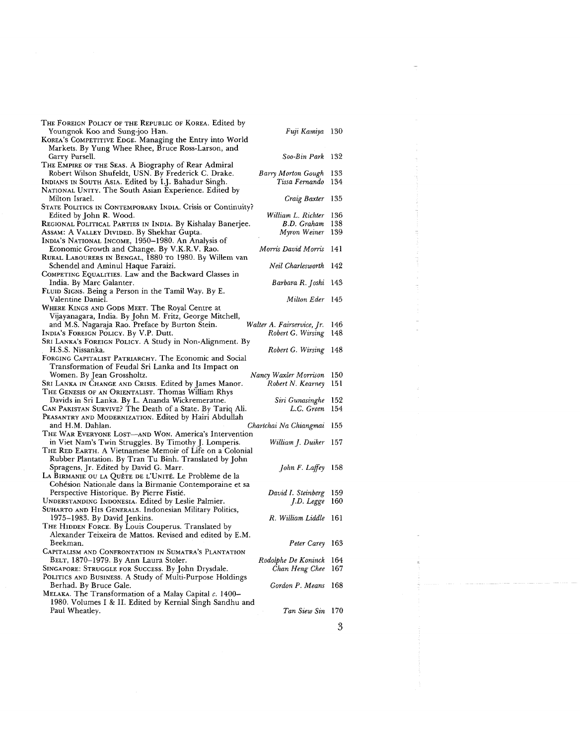| THE FOREIGN POLICY OF THE REPUBLIC OF KOREA. Edited by<br>Youngnok Koo and Sung-joo Han.<br>Fuji Kamiya 130<br>KOREA's COMPETITIVE EDGE. Managing the Entry into World<br>Markets. By Yung Whee Rhee, Bruce Ross-Larson, and |            |
|------------------------------------------------------------------------------------------------------------------------------------------------------------------------------------------------------------------------------|------------|
| Soo-Bin Park 132<br>Garry Pursell.                                                                                                                                                                                           |            |
| THE EMPIRE OF THE SEAS. A Biography of Rear Admiral<br>Robert Wilson Shufeldt, USN. By Frederick C. Drake.<br>Barry Morton Gough<br>INDIANS IN SOUTH ASIA. Edited by I.J. Bahadur Singh.<br>Tissa Fernando                   | 133<br>134 |
| NATIONAL UNITY. The South Asian Experience. Edited by<br>Milton Israel.<br>Craig Baxter 135                                                                                                                                  |            |
| STATE POLITICS IN CONTEMPORARY INDIA. Crisis or Continuity?<br>Edited by John R. Wood.<br>William L. Richter<br>REGIONAL POLITICAL PARTIES IN INDIA. By Kishalay Banerjee.<br>B.D. Graham                                    | 136<br>138 |
| Assam: A VALLEY DIVIDED. By Shekhar Gupta.<br>Myron Weiner<br>INDIA'S NATIONAL INCOME, 1950-1980. An Analysis of<br>Economic Growth and Change. By V.K.R.V. Rao.<br>Morris David Morris                                      | 139<br>141 |
| RURAL LABOURERS IN BENGAL, 1880 TO 1980. By Willem van<br>Neil Charlesworth                                                                                                                                                  | - 142      |
| Schendel and Aminul Haque Faraizi.<br>COMPETING EQUALITIES. Law and the Backward Classes in                                                                                                                                  |            |
| Barbara R. Joshi<br>India. By Marc Galanter.<br>FLUID SIGNS. Being a Person in the Tamil Way. By E.                                                                                                                          | - 143      |
| Valentine Daniel.<br>Milton Eder 145<br>WHERE KINGS AND GODS MEET. The Royal Centre at                                                                                                                                       |            |
| Vijayanagara, India. By John M. Fritz, George Mitchell,<br>and M.S. Nagaraja Rao. Preface by Burton Stein.<br>Walter A. Fairservice, Jr.<br>INDIA'S FOREIGN POLICY. By V.P. Dutt.<br>Robert G. Wirsing                       | 146<br>148 |
| SRI LANKA'S FOREIGN POLICY. A Study in Non-Alignment. By<br>H.S.S. Nissanka.<br>Robert G. Wirsing                                                                                                                            | 148        |
| FORGING CAPITALIST PATRIARCHY. The Economic and Social<br>Transformation of Feudal Sri Lanka and Its Impact on                                                                                                               |            |
| Women. By Jean Grossholtz.<br>Nancy Waxler Morrison                                                                                                                                                                          | 150        |
| SRI LANKA IN CHANGE AND CRISIS. Edited by James Manor.<br>Robert N. Kearney<br>THE GENESIS OF AN ORIENTALIST. Thomas William Rhys                                                                                            | 151        |
| Davids in Sri Lanka. By L. Ananda Wickremeratne.<br>Siri Gunasinghe<br>CAN PAKISTAN SURVIVE? The Death of a State. By Tariq Ali.<br>L.C. Green                                                                               | 152<br>154 |
| PEASANTRY AND MODERNIZATION. Edited by Hairi Abdullah<br>and H.M. Dahlan.<br>Chartchai Na Chiangmai                                                                                                                          | 155        |
| THE WAR EVERYONE LOST—AND WON. America's Intervention<br>in Viet Nam's Twin Struggles. By Timothy J. Lomperis.<br>William J. Duiker<br>THE RED EARTH. A Vietnamese Memoir of Life on a Colonial                              | 157        |
| Rubber Plantation. By Tran Tu Binh. Translated by John<br>John F. Laffey<br>Spragens, Jr. Edited by David G. Marr.<br>LA BIRMANIE OU LA QUÊTE DE L'UNITÉ. Le Problème de la                                                  | - 158      |
| Cohésion Nationale dans la Birmanie Contemporaine et sa<br>Perspective Historique. By Pierre Fistié.<br>David I. Steinberg<br>UNDERSTANDING INDONESIA. Edited by Leslie Palmier.<br>J.D. Legge                               | 159<br>160 |
| SUHARTO AND HIS GENERALS. Indonesian Military Politics,<br>1975-1983. By David Jenkins.<br>R. William Liddle                                                                                                                 | 161        |
| THE HIDDEN FORCE. By Louis Couperus. Translated by<br>Alexander Teixeira de Mattos. Revised and edited by E.M.                                                                                                               |            |
| Beekman.<br>Peter Carey<br>CAPITALISM AND CONFRONTATION IN SUMATRA'S PLANTATION                                                                                                                                              | 163        |
| BELT, 1870-1979. By Ann Laura Stoler.<br>Rodolphe De Koninck<br>SINGAPORE: STRUGGLE FOR SUCCESS. By John Drysdale.<br>Chan Heng Chee                                                                                         | 164<br>167 |
| POLITICS AND BUSINESS. A Study of Multi-Purpose Holdings<br>Gordon P. Means<br>Berhad. By Bruce Gale.                                                                                                                        | 168        |
| MELAKA. The Transformation of a Malay Capital $c$ . 1400–<br>1980. Volumes I & II. Edited by Kernial Singh Sandhu and<br>Paul Wheatley.<br>Tan Siew Sin                                                                      | -170       |

 $\overline{3}$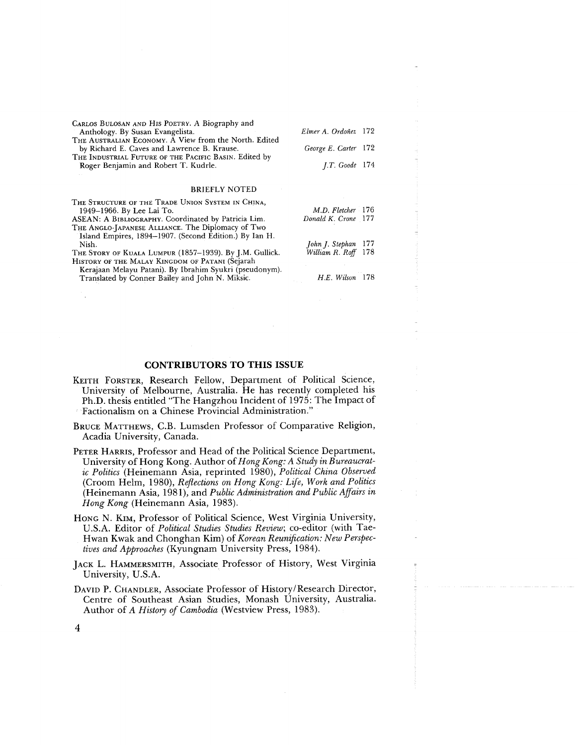| CARLOS BULOSAN AND HIS POETRY. A Biography and<br>Anthology. By Susan Evangelista.                   | Elmer A. Ordoñez 172  |
|------------------------------------------------------------------------------------------------------|-----------------------|
| THE AUSTRALIAN ECONOMY. A View from the North. Edited<br>by Richard E. Caves and Lawrence B. Krause. | George E. Carter 172  |
| THE INDUSTRIAL FUTURE OF THE PACIFIC BASIN. Edited by                                                |                       |
| Roger Benjamin and Robert T. Kudrle.                                                                 | <i>J.T.</i> Goode 174 |
|                                                                                                      |                       |
| <b>BRIEFLY NOTED</b>                                                                                 |                       |
| THE STRUCTURE OF THE TRADE UNION SYSTEM IN CHINA,                                                    |                       |
| 1949–1966. By Lee Lai To.                                                                            | M.D. Fletcher 176     |
| ASEAN: A BIBLIOGRAPHY. Coordinated by Patricia Lim.                                                  | Donald K. Crone 177   |
| THE ANGLO-JAPANESE ALLIANCE. The Diplomacy of Two                                                    |                       |
| Island Empires, 1894-1907. (Second Edition.) By Ian H.                                               |                       |
| Nish.                                                                                                | John J. Stephan 177   |
| THE STORY OF KUALA LUMPUR (1857–1939). By J.M. Gullick.                                              | William R. Roff 178   |
| HISTORY OF THE MALAY KINGDOM OF PATANI (Sejarah                                                      |                       |
| Kerajaan Melayu Patani). By Ibrahim Syukri (pseudonym).                                              |                       |
| Translated by Conner Bailey and John N. Miksic.                                                      | H.E. Wilson 178       |

### **CONTRIBUTORS TO THIS ISSUE**

- KEITH FORSTER, Research Fellow, Department of Political Science, University of Melbourne, Australia. He has recently completed his Ph.D. thesis entitled "The Hangzhou Incident of 1975: The Impact of Factionalism on a Chinese Provincial Administration."
- BRUCE MATTHEWS, C.B. Lumsden Professor of Comparative Religion, Acadia University, Canada.
- PETER HARRIS, Professor and Head of the Political Science Department, University of Hong Kong. Author of *Hong Kong: A Study in Bureaucratic Politics* (Heinemann Asia, reprinted 1980), *Political China Observed*  (Croom Helm, 1980), *Reflections on Hong Kong: Life, Work and Politics*  (Heinemann Asia, 1981), and *Public Administration and Public Affairs in Hong Kong* (Heinemann Asia, 1983).
- HONG N. KIM, Professor of Political Science, West Virginia University, U.S.A. Editor of *Political Studies Studies Review;* co-editor (with Tae-Hwan Kwak and Chonghan Kim) of *Korean Reunification: New Perspectives and Approaches* (Kyungnam University Press, 1984).
- JACK L. HAMMERSMITH, Associate Professor of History, West Virginia University, U.S.A.
- DAVID P. CHANDLER, Associate Professor of History/Research Director, Centre of Southeast Asian Studies, Monash University, Australia. Author of *A History of Cambodia* (Westview Press, 1983).

 $\overline{\mathbf{4}}$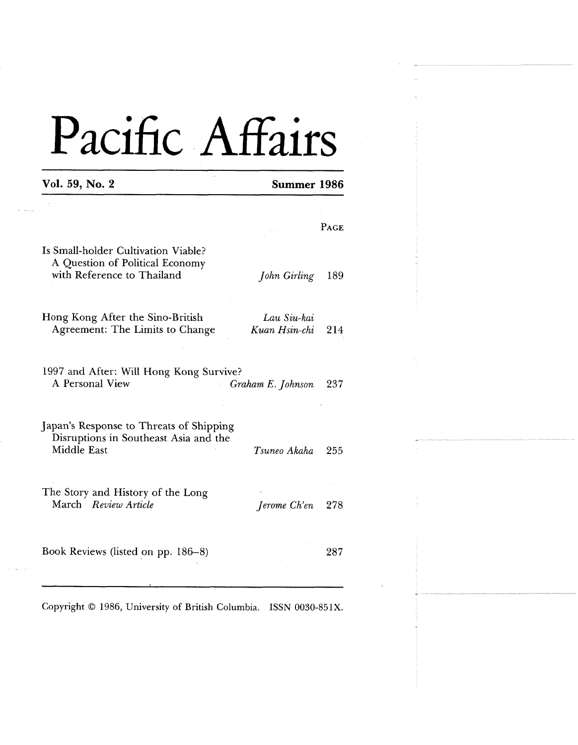| Vol. 59, No. 2                                                                                                                                    | Summer 1986                  |      |
|---------------------------------------------------------------------------------------------------------------------------------------------------|------------------------------|------|
|                                                                                                                                                   |                              |      |
|                                                                                                                                                   |                              | PAGE |
| Is Small-holder Cultivation Viable?<br>A Question of Political Economy<br>with Reference to Thailand                                              | John Girling                 | 189  |
| Hong Kong After the Sino-British<br>Agreement: The Limits to Change                                                                               | Lau Siu-kai<br>Kuan Hsin-chi | 214  |
|                                                                                                                                                   |                              |      |
| A Personal View                                                                                                                                   | Graham E. Johnson            | 237  |
| 1997 and After: Will Hong Kong Survive?<br>Japan's Response to Threats of Shipping<br>Disruptions in Southeast Asia and the<br><b>Middle East</b> | Tsuneo Akaha                 | 255  |
| The Story and History of the Long<br>March Review Article                                                                                         | Jerome Ch'en                 | 278  |

Copyright 0 1986, University of British Columbia. **ISSN** 0030-85lX.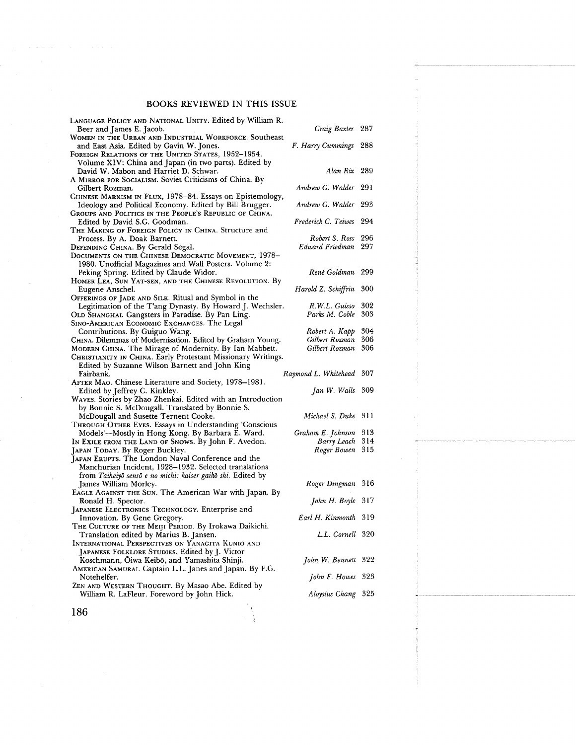| LANGUAGE POLICY AND NATIONAL UNITY. Edited by William R.<br>Beer and James E. Jacob.                        | Craig Baxter 287                 |     |
|-------------------------------------------------------------------------------------------------------------|----------------------------------|-----|
| WOMEN IN THE URBAN AND INDUSTRIAL WORKFORCE. Southeast<br>and East Asia. Edited by Gavin W. Jones.          | F. Harry Cummings 288            |     |
| FOREIGN RELATIONS OF THE UNITED STATES, 1952-1954.<br>Volume XIV: China and Japan (in two parts). Edited by |                                  |     |
| David W. Mabon and Harriet D. Schwar.                                                                       | Alan Rix 289                     |     |
| A MIRROR FOR SOCIALISM. Soviet Criticisms of China. By<br>Gilbert Rozman.                                   | Andrew G. Walder 291             |     |
| CHINESE MARXISM IN FLUX, 1978-84. Essays on Epistemology,                                                   |                                  |     |
| Ideology and Political Economy. Edited by Bill Brugger.                                                     | Andrew G. Walder 293             |     |
| GROUPS AND POLITICS IN THE PEOPLE'S REPUBLIC OF CHINA.                                                      |                                  |     |
| Edited by David S.G. Goodman.                                                                               | Frederick C. Teiwes 294          |     |
| THE MAKING OF FOREIGN POLICY IN CHINA. Structure and                                                        |                                  |     |
| Process. By A. Doak Barnett.                                                                                | Robert S. Ross 296               |     |
| DEFENDING CHINA. By Gerald Segal.                                                                           | Edward Friedman 297              |     |
| DOCUMENTS ON THE CHINESE DEMOCRATIC MOVEMENT, 1978-                                                         |                                  |     |
| 1980. Unofficial Magazines and Wall Posters. Volume 2:                                                      |                                  |     |
| Peking Spring. Edited by Claude Widor.                                                                      | René Goldman 299                 |     |
| HOMER LEA, SUN YAT-SEN, AND THE CHINESE REVOLUTION. By                                                      |                                  |     |
| Eugene Anschel.                                                                                             | Harold Z. Schiffrin              | 300 |
| OFFERINGS OF JADE AND SILK. Ritual and Symbol in the                                                        |                                  | 302 |
| Legitimation of the T'ang Dynasty. By Howard J. Wechsler.                                                   | R.W.L. Guisso                    | 303 |
| OLD SHANGHAI. Gangsters in Paradise. By Pan Ling.                                                           | Parks M. Coble                   |     |
| SINO-AMERICAN ECONOMIC EXCHANGES. The Legal                                                                 |                                  | 304 |
| Contributions. By Guiguo Wang.<br>CHINA. Dilemmas of Modernisation. Edited by Graham Young.                 | Robert A. Kapp<br>Gilbert Rozman | 306 |
| MODERN CHINA. The Mirage of Modernity. By Ian Mabbett.                                                      | Gilbert Rozman                   | 306 |
| CHRISTIANITY IN CHINA. Early Protestant Missionary Writings.                                                |                                  |     |
| Edited by Suzanne Wilson Barnett and John King                                                              |                                  |     |
| Fairbank.                                                                                                   | Raymond L. Whitehead 307         |     |
| AFTER MAO. Chinese Literature and Society, 1978–1981.                                                       |                                  |     |
| Edited by Jeffrey C. Kinkley.                                                                               | Jan W. Walls 309                 |     |
| WAVES. Stories by Zhao Zhenkai. Edited with an Introduction                                                 |                                  |     |
| by Bonnie S. McDougall. Translated by Bonnie S.                                                             |                                  |     |
| McDougall and Susette Ternent Cooke.                                                                        | Michael S. Duke 311              |     |
| THROUGH OTHER EYES. Essays in Understanding 'Conscious                                                      |                                  |     |
| Models'-Mostly in Hong Kong. By Barbara E. Ward.                                                            | Graham E. Johnson                | 313 |
| IN EXILE FROM THE LAND OF SNOWS. By John F. Avedon.                                                         | Barry Leach                      | 314 |
| Japan Today. By Roger Buckley.                                                                              | Roger Bowen 315                  |     |
| JAPAN ERUPTS. The London Naval Conference and the                                                           |                                  |     |
| Manchurian Incident, 1928–1932. Selected translations                                                       |                                  |     |
| from Taiheiyō sensō e no michi: kaiser gaikō shi. Edited by                                                 |                                  |     |
| James William Morley.                                                                                       | Roger Dingman 316                |     |
| EAGLE AGAINST THE SUN. The American War with Japan. By                                                      |                                  |     |
| Ronald H. Spector.                                                                                          | John H. Boyle 317                |     |
| JAPANESE ELECTRONICS TECHNOLOGY. Enterprise and                                                             |                                  |     |
| Innovation. By Gene Gregory.                                                                                | Earl H. Kinmonth 319             |     |
| THE CULTURE OF THE MEIJI PERIOD. By Irokawa Daikichi.                                                       |                                  |     |
| Translation edited by Marius B. Jansen.                                                                     | L.L. Cornell 320                 |     |
| INTERNATIONAL PERSPECTIVES ON YANAGITA KUNIO AND                                                            |                                  |     |
| JAPANESE FOLKLORE STUDIES. Edited by J. Victor                                                              |                                  |     |
| Koschmann, Oiwa Keibō, and Yamashita Shinji.                                                                | John W. Bennett 322              |     |
| AMERICAN SAMURAI. Captain L.L. Janes and Japan. By F.G.                                                     |                                  |     |
| Notehelfer.                                                                                                 | John F. Howes 323                |     |
| ZEN AND WESTERN THOUGHT. By Masao Abe. Edited by                                                            |                                  |     |
| William R. LaFleur. Foreword by John Hick.                                                                  | Aloysius Chang 325               |     |

186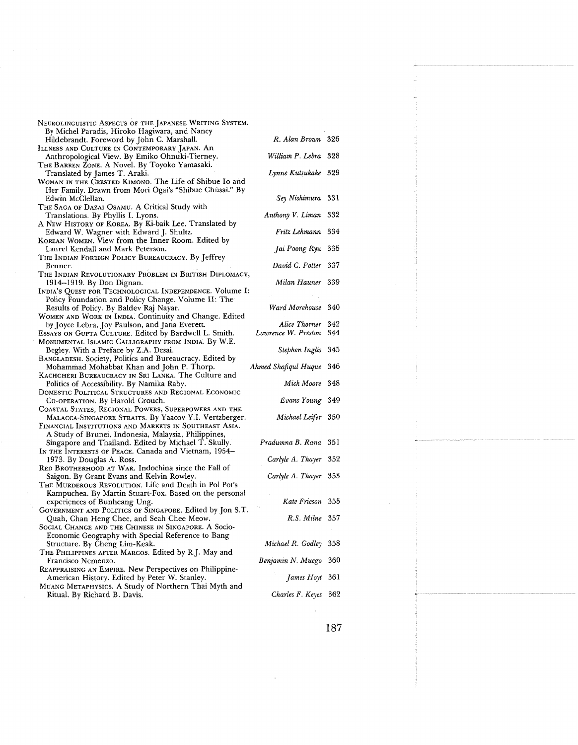| NEUROLINGUISTIC ASPECTS OF THE JAPANESE WRITING SYSTEM.                              |                         |      |
|--------------------------------------------------------------------------------------|-------------------------|------|
| By Michel Paradis, Hiroko Hagiwara, and Nancy                                        |                         |      |
| Hildebrandt. Foreword by John C. Marshall.                                           | R. Alan Brown 326       |      |
| ILLNESS AND CULTURE IN CONTEMPORARY JAPAN. AN                                        |                         |      |
| Anthropological View. By Emiko Ohnuki-Tierney.                                       | William P. Lebra 328    |      |
| THE BARREN ZONE. A Novel. By Toyoko Yamasaki.                                        |                         |      |
| Translated by James T. Araki.                                                        | Lynne Kutsukake 329     |      |
| WOMAN IN THE CRESTED KIMONO. The Life of Shibue Io and                               |                         |      |
| Her Family. Drawn from Mori Ogai's "Shibue Chūsai." By                               |                         |      |
| Edwin McClellan.                                                                     | Sey Nishimura 331       |      |
| THE SAGA OF DAZAI OSAMU. A Critical Study with                                       |                         |      |
| Translations. By Phyllis I. Lyons.                                                   | Anthony V. Liman 332    |      |
| A New History of Korea. By Ki-baik Lee. Translated by                                | Fritz Lehmann 334       |      |
| Edward W. Wagner with Edward J. Shultz.                                              |                         |      |
| KOREAN WOMEN. View from the Inner Room. Edited by                                    |                         |      |
| Laurel Kendall and Mark Peterson.                                                    | Jai Poong Ryu 335       |      |
| THE INDIAN FOREIGN POLICY BUREAUCRACY. By Jeffrey                                    |                         |      |
| Benner.                                                                              | David C. Potter 337     |      |
| The Indian Revolutionary Problem in British Diplomacy,                               |                         |      |
| 1914–1919. By Don Dignan.                                                            | Milan Hauner 339        |      |
| INDIA'S QUEST FOR TECHNOLOGICAL INDEPENDENCE. Volume I:                              |                         |      |
| Policy Foundation and Policy Change. Volume II: The                                  |                         |      |
| Results of Policy. By Baldev Raj Nayar.                                              | Ward Morehouse 340      |      |
| WOMEN AND WORK IN INDIA. Continuity and Change. Edited                               | Alice Thorner 342       |      |
| by Joyce Lebra, Joy Paulson, and Jana Everett.                                       | Lawrence W. Preston 344 |      |
| ESSAYS ON GUPTA CULTURE. Edited by Bardwell L. Smith.                                |                         |      |
| MONUMENTAL ISLAMIC CALLIGRAPHY FROM INDIA. By W.E.                                   | Stephen Inglis 345      |      |
| Begley. With a Preface by Z.A. Desai.                                                |                         |      |
| BANGLADESH. Society, Politics and Bureaucracy. Edited by                             |                         |      |
|                                                                                      |                         |      |
| Mohammad Mohabbat Khan and John P. Thorp.                                            | Ahmed Shafiqul Huque    | -346 |
| KACHCHERI BUREAUCRACY IN SRI LANKA. The Culture and                                  |                         |      |
| Politics of Accessibility. By Namika Raby.                                           | Mick Moore 348          |      |
| DOMESTIC POLITICAL STRUCTURES AND REGIONAL ECONOMIC                                  |                         |      |
| Co-OPERATION. By Harold Crouch.                                                      | Evans Young 349         |      |
| COASTAL STATES, REGIONAL POWERS, SUPERPOWERS AND THE                                 |                         |      |
| MALACCA-SINGAPORE STRAITS. By Yaacov Y.I. Vertzberger.                               | Michael Leifer 350      |      |
| FINANCIAL INSTITUTIONS AND MARKETS IN SOUTHEAST ASIA.                                |                         |      |
| A Study of Brunei, Indonesia, Malaysia, Philippines,                                 |                         |      |
| Singapore and Thailand. Edited by Michael T. Skully.                                 | Pradumna B. Rana 351    |      |
| IN THE INTERESTS OF PEACE. Canada and Vietnam, 1954–                                 |                         |      |
| 1973. By Douglas A. Ross.                                                            | Carlyle A. Thayer 352   |      |
| RED BROTHERHOOD AT WAR. Indochina since the Fall of                                  |                         |      |
| Saigon. By Grant Evans and Kelvin Rowley.                                            | Carlyle A. Thayer 353   |      |
| THE MURDEROUS REVOLUTION. Life and Death in Pol Pot's                                |                         |      |
| Kampuchea. By Martin Stuart-Fox. Based on the personal                               |                         |      |
| experiences of Bunheang Ung.                                                         | Kate Frieson 355        |      |
| GOVERNMENT AND POLITICS OF SINGAPORE. Edited by Jon S.T.                             |                         |      |
| Quah, Chan Heng Chee, and Seah Chee Meow.                                            | R.S. Milne 357          |      |
| SOCIAL CHANGE AND THE CHINESE IN SINGAPORE. A Socio-                                 |                         |      |
| Economic Geography with Special Reference to Bang                                    |                         |      |
| Structure. By Cheng Lim-Keak.                                                        | Michael R. Godley       | 358  |
| THE PHILIPPINES AFTER MARCOS. Edited by R.J. May and                                 |                         | 360  |
| Francisco Nemenzo.                                                                   | Benjamin N. Muego       |      |
| REAPPRAISING AN EMPIRE. New Perspectives on Philippine-                              |                         |      |
| American History. Edited by Peter W. Stanley.                                        | James Hoyt 361          |      |
| MUANG METAPHYSICS. A Study of Northern Thai Myth and<br>Ritual. By Richard B. Davis. | Charles F. Keyes 362    |      |

187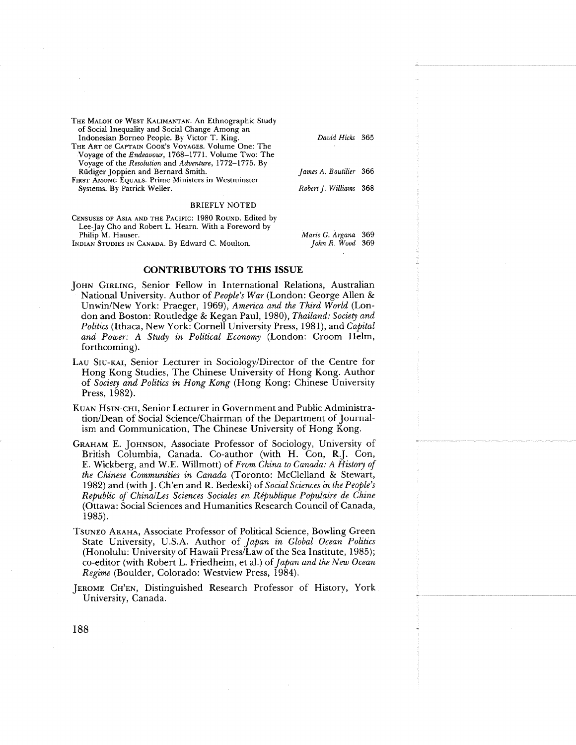- **THE MALOH OF WEST KALIMANTAN. An Ethnographic Study of Social Inequality and Social Change Among an Indonesian Borneo People. By Victor T. King.** *David Hicks* **365**
- **THE ART OF CAPTAIN COOK'S VOYAGES. Volume One: The Voyage of the** *Endeavour,* **1768-1771. Volume Two: The Voyage of the** *Resolution* **and** *Adventure,* **1772-1775. By Rudiger Joppien and Bernard Smith.** *James A. Boutilier* **366**
- **FIRST AMONG EQUALS. Prime Ministers in Westminster**   $S$ ystems. By Patrick Weller.

### **BRIEFLY NOTED**

**CENSUSES OF ASIA AND THE PACIFIC: 1980 ROUND. Edited by Lee-Jay Cho and Robert L. Hearn. With a Foreword by** 

INDIAN STUDIES IN CANADA. By Edward C. Moulton.

| James A. Boutilier 366 |                        |  |
|------------------------|------------------------|--|
|                        | Robert J. Williams 368 |  |

**Philip M. Hauser.** *Mane* **G.** *Argana* **369** 

### **CONTRIBUTORS TO THIS ISSUE**

- JOHN GIRLING, Senior Fellow in International Relations, Australian National University. Author of *People's War* (London: George Alien & UnwinINew York: Praeger, 1969), *America and the Third World* (London and Boston: Routledge & Kegan Paul, 1980), *Thailand: Society and Politics* (Ithaca, New York: Cornell University Press, 198 l), and *Capital and Power: A Study in Political Economy* (London: Croom Helm, forthcoming).
- LAU SIU-KAI, Senior Lecturer in Sociology/Director of the Centre for Hong Kong Studies, The Chinese University of Hong Kong. Author of *Society and Politics in Hong Kong* (Hong Kong: Chinese University Press, 1982).
- KUAN HSIN-CHI, Senior Lecturer in Government and Public Administration/Dean of Social Science/Chairman of the Department of Journalism and Communication, The Chinese University of Hong Kong.
- GRAHAM E. JOHNSON, Associate Professor of Sociology, University of British Columbia, Canada. Co-author (with H. Con, R.J. Con, E. Wickberg, and W.E. Willmott) of *From China to Canada: A History of the Chinese Communities in Canada* (Toronto: McClelland & Stewart, 1982) and (with J. Ch'en and R. Bedeski) of *Social Sciences in the People's Republic of China/Les Sciences Sociales en République Populaire de Chine* (Ottawa: Social Sciences and Humanities Research Council of Canada, 1985).
- TSUNEO AKAHA, Associate Professor of Political Science, Bowling Green State University, U.S.A. Author of *Japan in Global Ocean Politics*  (Honolulu: University of Hawaii Press/Law of the Sea Institute, 1985); co-editor (with Robert L. Friedheim, et al.) of *Japan and the New Ocean Regime* (Boulder, Colorado: Westview Press, 1984).
- JEROME CH'EN, Distinguished Research Professor of History, York University, Canada.

188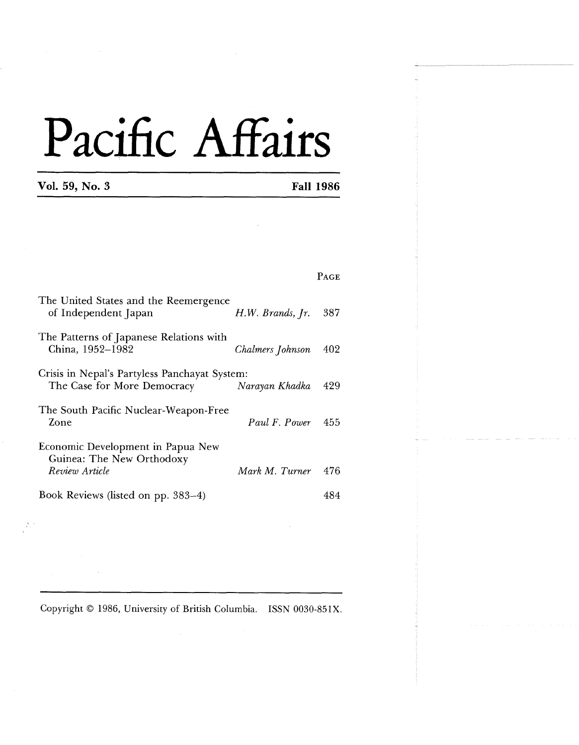|  | Vol. 59, No. 3 |
|--|----------------|
|--|----------------|

 $\mathcal{D}_1$  :

**Vol. 59, No. 3 Fall 1986** 

-

|                                                                                  |                      | <b>PAGE</b> |
|----------------------------------------------------------------------------------|----------------------|-------------|
| The United States and the Reemergence<br>of Independent Japan                    | $H.W.$ Brands, $Ir.$ | 387         |
| The Patterns of Japanese Relations with<br>China, 1952–1982                      | Chalmers Johnson     | 402         |
| Crisis in Nepal's Partyless Panchayat System:<br>The Case for More Democracy     | Narayan Khadka       | 429         |
| The South Pacific Nuclear-Weapon-Free<br>Zone                                    | Paul F. Power        | 455         |
| Economic Development in Papua New<br>Guinea: The New Orthodoxy<br>Review Article | Mark M. Turner       | 476         |
| Book Reviews (listed on pp. 383–4)                                               |                      | 484         |

Copyright 0 1986, University of British Columbia. ISSN 0030-85IX.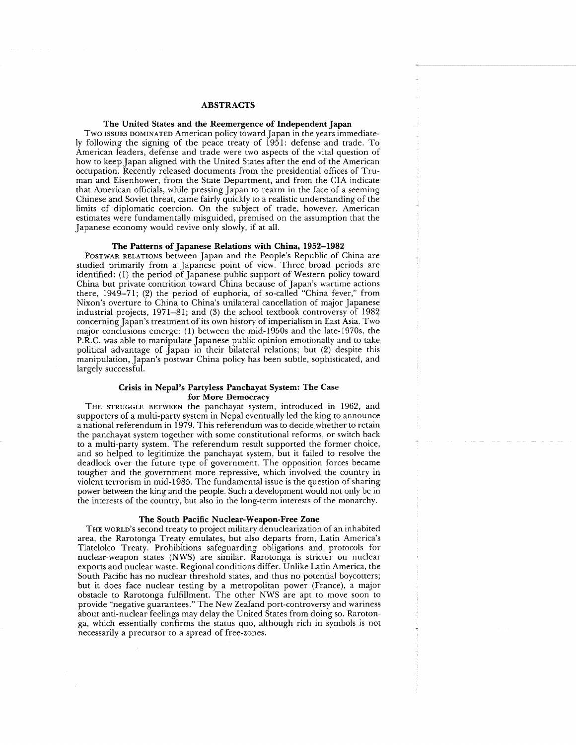### **ABSTRACTS**

### **The United States and the Reemergence of Independent Japan**

Two ISSUES DOMINATED American policy toward Japan in the years immediately following the signing of the peace treaty of 1951: defense and trade. To American leaders, defense and trade were two aspects of the vital question of how to keep Japan aligned with the United States after the end of the American occupation. Recently released documents from the presidential offices of Truman and Eisenhower, from the State Department, and from the CIA indicate that American officials, while pressing Japan to rearm in the face of a seeming Chinese and Soviet threat, came fairly quickly to a realistic understanding of the limits of diplomatic coercion. On the subject of trade, however, American estimates were fundamentally misguided, premised on the assumption that the Japanese economy would revive only slowly, if at all.

### **The Patterns of Japanese Relations with China, 1952-1982**

POSTWAR RELATIONS between Japan and the People's Republic of China are studied primarily from a Japanese point of view. Three broad periods are identified: (1) the period of Japanese public support of Western policy toward China but private contrition toward China because of Japan's wartime actions there, 1949-71; (2) the period of euphoria, of so-called "China fever," from Nixon's overture to China to China's unilateral cancellation of major Japanese industrial projects, 1971-81; and **(3)** the school textbook controversy of 1982 concerning Japan's treatment of its own history of imperialism in East Asia. Two major conclusions emerge: (1) between the mid- 1950s and the late- l97Os, the P.R.C. was able to manipulate Japanese public opinion emotionally and to take political advantage of Japan in their bilateral relations; but (2) despite this manipulation, Japan's postwar China policy has been subtle, sophisticated, and largely successful.

### **Crisis in Nepal's Partyless Panchayat System: The Case for More Democracy**

THE STRUGGLE BETWEEN the panchayat system, introduced in 1962, and supporters of a multi-party system in Nepal eventually led the king to announce a national referendum in 1979. This referendum was to decide whether to retain the panchayat system together with some constitutional reforms, or switch back to a multi-party system. The referendum result supported the former choice, and so helped to legitimize the panchayat system, but it failed to resolve the deadlock over the future type of government. The opposition forces became tougher and the government more repressive, which involved the country in violent terrorism in mid-1985. The fundamental issue is the question of sharing power between the king and the people. Such a development would not only be in the interests of the country, but also in the long-term interests of the monarchy.

### **The South Pacific Nuclear-Weapon-Free Zone**

THE WORLD'S second treaty to project military denuclearization of an inhabited area, the Rarotonga Treaty emulates, but also departs from, Latin America's Tlatelolco Treaty. Prohibitions safeguarding obligations and protocols for nuclear-weapon states (NWS) are similar. Rarotonga is stricter on nuclear exports and nuclear waste. Regional conditions differ. Unlike Latin America, the South Pacific has no nuclear threshold states, and thus no potential boycotters; but it does face nuclear testing by a metropolitan power (France), a major obstacle to Rarotonga fulfillment. The other NWS are apt to move soon to provide "negative guarantees." The New Zealand port-controversy and wariness about anti-nuclear feelings may delay the United States from doing so. Rarotonga, which essentially confirms the status quo, although rich in symbols is not necessarily a precursor to a spread of free-zones.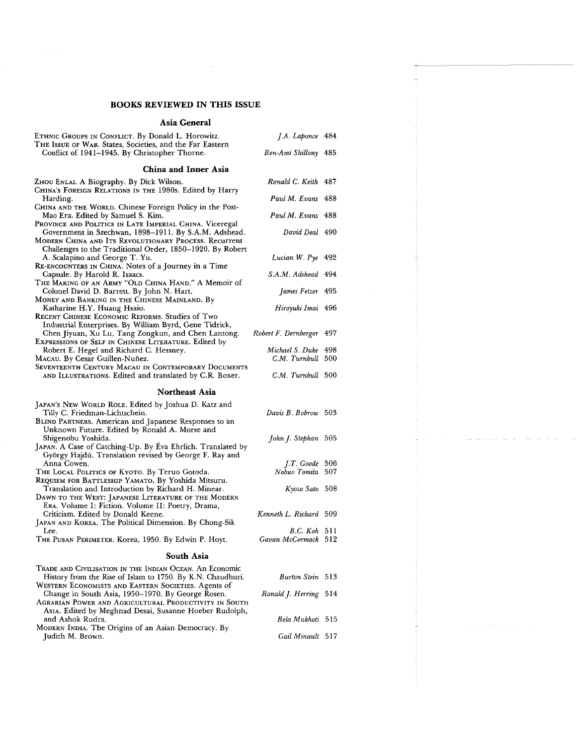$\sim 10^7$ 

### **Asia General**

| ETHNIC GROUPS IN CONFLICT. By Donald L. Horowitz.<br>THE ISSUE OF WAR. States, Societies, and the Far Eastern                                                                                                        | J.A. Laponce 484                         |  |
|----------------------------------------------------------------------------------------------------------------------------------------------------------------------------------------------------------------------|------------------------------------------|--|
| Conflict of 1941–1945. By Christopher Thorne.                                                                                                                                                                        | Ben-Ami Shillony 485                     |  |
| China and Inner Asia                                                                                                                                                                                                 |                                          |  |
| ZHOU ENLAI. A Biography. By Dick Wilson.<br>CHINA'S FOREIGN RELATIONS IN THE 1980s. Edited by Harry                                                                                                                  | Ronald C. Keith 487                      |  |
| Harding.<br>CHINA AND THE WORLD. Chinese Foreign Policy in the Post-                                                                                                                                                 | Paul M. Evans 488                        |  |
| Mao Era. Edited by Samuel S. Kim.<br>PROVINCE AND POLITICS IN LATE IMPERIAL CHINA. Viceregal                                                                                                                         | Paul M. Evans 488                        |  |
| Government in Szechwan, 1898-1911. By S.A.M. Adshead.<br>MODERN CHINA AND ITS REVOLUTIONARY PROCESS. Recurrent<br>Challenges to the Traditional Order, 1850–1920. By Robert                                          | David Deal 490                           |  |
| A. Scalapino and George T. Yu.<br>RE-ENCOUNTERS IN CHINA. Notes of a Journey in a Time                                                                                                                               | Lucian W. Pye 492                        |  |
| Capsule. By Harold R. Isaacs.<br>THE MAKING OF AN ARMY "OLD CHINA HAND." A Memoir of                                                                                                                                 | S.A.M. Adshead 494                       |  |
| Colonel David D. Barrett. By John N. Hart.<br>MONEY AND BANKING IN THE CHINESE MAINLAND. By                                                                                                                          | James Fetzer 495                         |  |
| Katharine H.Y. Huang Hsaio.<br>RECENT CHINESE ECONOMIC REFORMS. Studies of Two<br>Industrial Enterprises. By William Byrd, Gene Tidrick,                                                                             | Hiroyuki Imai 496                        |  |
| Chen Jiyuan, Xu Lu, Tang Zongkun, and Chen Lantong.<br>EXPRESSIONS OF SELF IN CHINESE LITERATURE. Edited by                                                                                                          | Robert F. Dernberger 497                 |  |
| Robert E. Hegel and Richard C. Hessney.<br>MACAU. By Cesar Guillen-Nuñez.<br>Seventeenth Century Macau in Contemporary Documents                                                                                     | Michael S. Duke 498<br>C.M. Turnbull 500 |  |
| AND ILLUSTRATIONS. Edited and translated by C.R. Boxer.                                                                                                                                                              | C.M. Turnbull 500                        |  |
|                                                                                                                                                                                                                      |                                          |  |
| <b>Northeast Asia</b>                                                                                                                                                                                                |                                          |  |
| JAPAN's NEW WORLD ROLE. Edited by Joshua D. Katz and<br>Tilly C. Friedman-Lichtschein.<br>BLIND PARTNERS. American and Japanese Responses to an<br>Unknown Future. Edited by Ronald A. Morse and                     | Davis B. Bobrow 503                      |  |
| Shigenobu Yoshida.<br>JAPAN. A Case of Catching-Up. By Éva Ehrlich. Translated by<br>György Hajdú. Translation revised by George F. Ray and                                                                          | John J. Stephan 505                      |  |
| Anna Cowen.<br>THE LOCAL POLITICS OF KYOTO. By Teruo Gotoda.                                                                                                                                                         | $J.T.$ Goode 506<br>Nobuo Tomita 507     |  |
| REQUIEM FOR BATTLESHIP YAMATO. By Yoshida Mitsuru.<br>Translation and Introduction by Richard H. Minear.<br>DAWN TO THE WEST: JAPANESE LITERATURE OF THE MODERN<br>ERA. Volume I: Fiction. Volume II: Poetry, Drama, | Kyozo Sato 508                           |  |
| Criticism. Edited by Donald Keene.<br>JAPAN AND KOREA. The Political Dimension. By Chong-Sik                                                                                                                         | Kenneth L. Richard 509                   |  |
| Lee.<br>THE PUSAN PERIMETER. Korea, 1950. By Edwin P. Hoyt.                                                                                                                                                          | $B.C.$ Koh 511<br>Gavan McCormack 512    |  |
| <b>South Asia</b>                                                                                                                                                                                                    |                                          |  |
| TRADE AND CIVILISATION IN THE INDIAN OCEAN. An Economic                                                                                                                                                              |                                          |  |
| History from the Rise of Islam to 1750. By K.N. Chaudhuri.<br>Western Economists and Eastern Societies. Agents of                                                                                                    | Burton Stein 513                         |  |
| Change in South Asia, 1950–1970. By George Rosen.<br>AGRARIAN POWER AND AGRICULTURAL PRODUCTIVITY IN SOUTH<br>Asia. Edited by Meghnad Desai, Susanne Hoeber Rudolph,                                                 | Ronald J. Herring 514                    |  |
| and Ashok Rudra.<br>MODERN INDIA. The Origins of an Asian Democracy. By<br>Judith M. Brown.                                                                                                                          | Bela Mukhoti 515<br>Gail Minault 517     |  |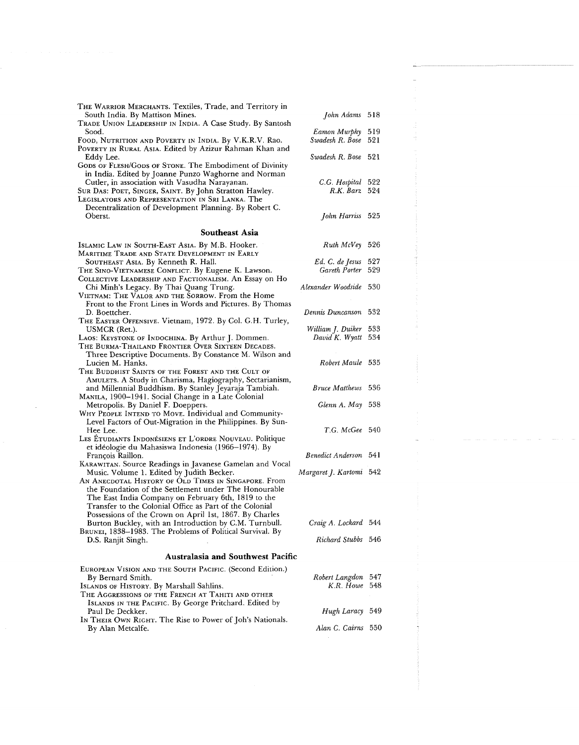| THE WARRIOR MERCHANTS. Textiles, Trade, and Territory in<br>South India. By Mattison Mines.<br>TRADE UNION LEADERSHIP IN INDIA. A Case Study. By Santosh                                                                                                                     | John Adams 518                       |            |
|------------------------------------------------------------------------------------------------------------------------------------------------------------------------------------------------------------------------------------------------------------------------------|--------------------------------------|------------|
| Sood.<br>FOOD, NUTRITION AND POVERTY IN INDIA. By V.K.R.V. Rao.<br>POVERTY IN RURAL ASIA. Edited by Azizur Rahman Khan and                                                                                                                                                   | Eamon Murphy<br>Swadesh R. Bose      | 519<br>521 |
| Eddy Lee.<br>GODS OF FLESH/GODS OF STONE. The Embodiment of Divinity<br>in India. Edited by Joanne Punzo Waghorne and Norman                                                                                                                                                 | Swadesh R. Bose                      | 521        |
| Cutler, in association with Vasudha Narayanan.<br>SUR DAS: POET, SINGER, SAINT. By John Stratton Hawley.<br>Legislators and Representation in Sri Lanka. The                                                                                                                 | C.G. Hospital 522<br>$R.K.$ Barz 524 |            |
| Decentralization of Development Planning. By Robert C.<br>Oberst.                                                                                                                                                                                                            | John Harriss 525                     |            |
| <b>Southeast Asia</b>                                                                                                                                                                                                                                                        |                                      |            |
| ISLAMIC LAW IN SOUTH-EAST ASIA. By M.B. Hooker.<br>MARITIME TRADE AND STATE DEVELOPMENT IN EARLY                                                                                                                                                                             | Ruth McVey 526                       |            |
| SOUTHEAST ASIA. By Kenneth R. Hall.<br>THE SINO-VIETNAMESE CONFLICT. By Eugene K. Lawson.<br>COLLECTIVE LEADERSHIP AND FACTIONALISM. An Essay on Ho                                                                                                                          | Ed. C. de Jesus<br>Gareth Porter     | 527<br>529 |
| Chi Minh's Legacy. By Thai Quang Trung.<br>VIETNAM: THE VALOR AND THE SORROW. From the Home<br>Front to the Front Lines in Words and Pictures. By Thomas                                                                                                                     | Alexander Woodside 530               |            |
| D. Boettcher.<br>THE EASTER OFFENSIVE. Vietnam, 1972. By Col. G.H. Turley,                                                                                                                                                                                                   | Dennis Duncanson                     | - 532      |
| USMCR (Ret.).<br>LAOS: KEYSTONE OF INDOCHINA. By Arthur J. Dommen.<br>THE BURMA-THAILAND FRONTIER OVER SIXTEEN DECADES.                                                                                                                                                      | William J. Duiker<br>David K. Wyatt  | 533<br>534 |
| Three Descriptive Documents. By Constance M. Wilson and<br>Lucien M. Hanks.<br>THE BUDDHIST SAINTS OF THE FOREST AND THE CULT OF                                                                                                                                             | Robert Maule 535                     |            |
| AMULETS. A Study in Charisma, Hagiography, Sectarianism,<br>and Millennial Buddhism. By Stanley Jeyaraja Tambiah.<br>MANILA, 1900-1941. Social Change in a Late Colonial                                                                                                     | <i>Bruce Matthews</i> 536            |            |
| Metropolis. By Daniel F. Doeppers.<br>WHY PEOPLE INTEND TO MOVE. Individual and Community-<br>Level Factors of Out-Migration in the Philippines. By Sun-                                                                                                                     | Glenn A. May 538                     |            |
| Hee Lee.<br>LES ETUDIANTS INDONÉSIENS ET L'ORDRE NOUVEAU. Politique<br>et idéologie du Mahasiswa Indonesia (1966–1974). By                                                                                                                                                   | T.G. McGee 540                       |            |
| François Raillon.<br>KARAWITAN. Source Readings in Javanese Gamelan and Vocal                                                                                                                                                                                                | <b>Benedict Anderson</b> 541         |            |
| Music. Volume 1. Edited by Judith Becker.<br>AN ANECDOTAL HISTORY OF OLD TIMES IN SINGAPORE. From<br>the Foundation of the Settlement under The Honourable<br>The East India Company on February 6th, 1819 to the<br>Transfer to the Colonial Office as Part of the Colonial | Margaret J. Kartomi 542              |            |
| Possessions of the Crown on April 1st, 1867. By Charles<br>Burton Buckley, with an Introduction by C.M. Turnbull.<br>BRUNEI, 1838–1983. The Problems of Political Survival. By                                                                                               | Craig A. Lockard 544                 |            |
| D.S. Ranjit Singh.                                                                                                                                                                                                                                                           | Richard Stubbs 546                   |            |
| <b>Australasia and Southwest Pacific</b>                                                                                                                                                                                                                                     |                                      |            |
| EUROPEAN VISION AND THE SOUTH PACIFIC. (Second Edition.)<br>By Bernard Smith.<br>ISLANDS OF HISTORY. By Marshall Sahlins.<br>THE AGGRESSIONS OF THE FRENCH AT TAHITI AND OTHER                                                                                               | Robert Langdon<br>K.R. Howe          | 547<br>548 |
| ISLANDS IN THE PACIFIC. By George Pritchard. Edited by<br>Paul De Deckker.<br>In THEIR OWN RIGHT. The Rise to Power of Joh's Nationals.                                                                                                                                      | Hugh Laracy 549                      |            |
| By Alan Metcalfe.                                                                                                                                                                                                                                                            | Alan C. Cairns 550                   |            |

 $\alpha_{\rm{max}}$ 

÷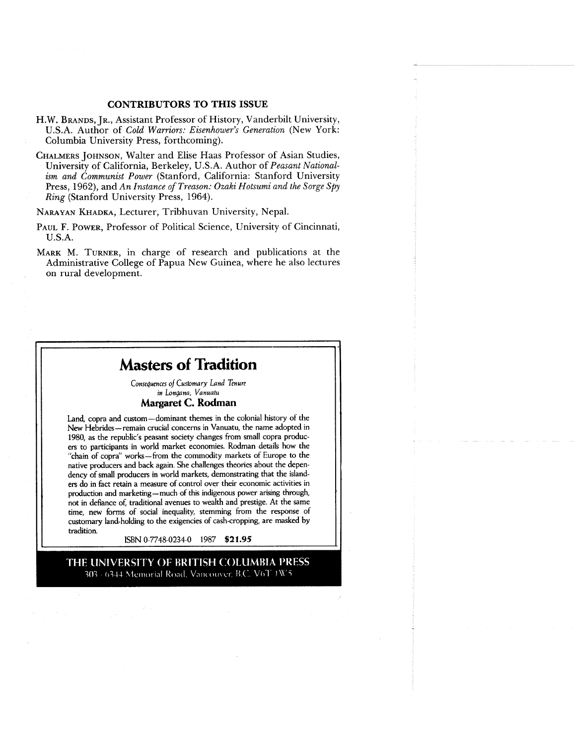### **CONTRIBUTORS TO THIS ISSUE**

- H.W. BRANDS, JR., Assistant Professor of History, Vanderbilt University, U.S.A. Author of *Cold Warriors: Eisenhower's Generation* (New York: Columbia University Press, forthcoming).
- CHALMERS JOHNSON, Walter and Elise Haas Professor of Asian Studies, University of California, Berkeley, U.S.A. Author of *Peasant Nationalism and Communist Power* (Stanford, California: Stanford University Press, 1962), and *An Instance of Treason: Ozaki Hotsumi and the Sorge Spy Ring* (Stanford University Press, 1964).

NARAYAN KHADKA, Lecturer, Tribhuvan University, Nepal.

- PAUL F. POWER, Professor of Political Science, University of Cincinnati, U.S.A.
- MARK M. TURNER, in charge of research and publications at the Administrative College of Papua New Guinea, where he also lectures on rural development.

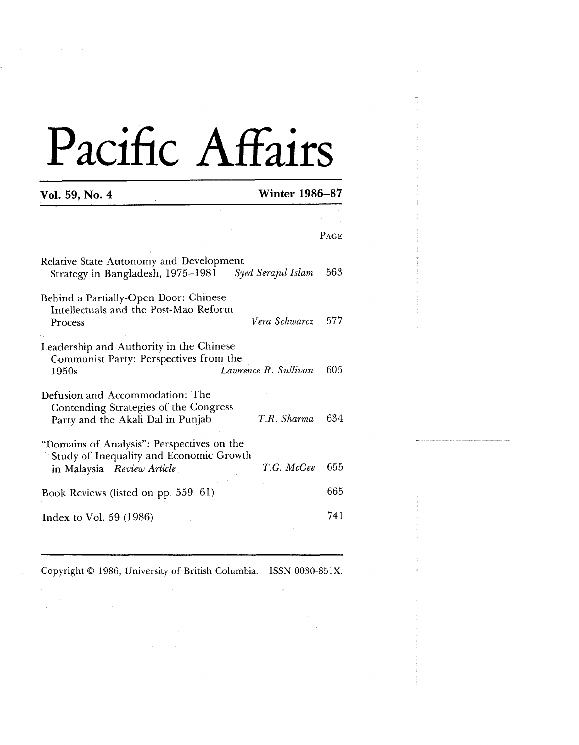**Vol. 59, No. 4 Winter 1986-87** 

|                                                                                                                                   | <b>PAGE</b> |
|-----------------------------------------------------------------------------------------------------------------------------------|-------------|
| Relative State Autonomy and Development<br>Strategy in Bangladesh, 1975-1981<br>Syed Serajul Islam                                | 563         |
| Behind a Partially-Open Door: Chinese<br>Intellectuals and the Post-Mao Reform<br>Vera Schwarcz<br>Process                        | 577         |
| Leadership and Authority in the Chinese<br>Communist Party: Perspectives from the<br>Lawrence R. Sullivan<br>1950s                | 605         |
| Defusion and Accommodation: The<br>Contending Strategies of the Congress<br>T.R. Sharma<br>Party and the Akali Dal in Punjab      | 634         |
| "Domains of Analysis": Perspectives on the<br>Study of Inequality and Economic Growth<br>T.G. McGee<br>in Malaysia Review Article | 655         |
| Book Reviews (listed on pp. 559–61)                                                                                               | 665         |
| Index to Vol. $59(1986)$                                                                                                          | 741         |

Copyright 0 1986, University of British Columbia. **ISSN** 0030-85lX.

 $\mathcal{A}=\mathcal{A}$  , and  $\mathcal{A}=\mathcal{A}$  , and  $\mathcal{A}=\mathcal{A}$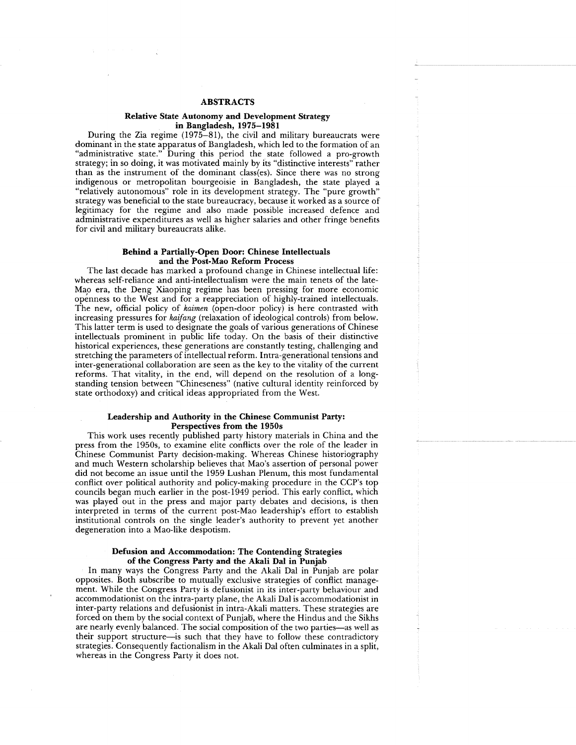### **ABSTRACTS**

### **Relative State Autonomy and Development Strategy in Bangladesh, 1975-198 1**

During the Zia regime (1975-81), the civil and military bureaucrats were dominant in the state apparatus of Bangladesh, which led to the formation of an "administrative state." During this period the state followed a pro-growth strategy; in so doing, it was motivated mainly by its "distinctive interests" rather than as the instrument of the dominant class(es). Since there was no strong indigenous or metropolitan bourgeoisie in Bangladesh, the state played a "relatively autonomous" role in its development strategy. The "pure growth" strategy was beneficial to the state bureaucracy, because it worked as a source of legitimacy for the regime and also made possible increased defence and administrative expenditures as well as higher salaries and other fringe benefits for civil and military bureaucrats alike.

### **Behind a Partially-Open Door: Chinese Intellectuals and the Post-Mao Reform Process**

The last decade has marked a profound change in Chinese intellectual life: whereas self-reliance and anti-intellectualism were the main tenets of the late-Mao era, the Deng Xiaoping regime has been pressing for more economic openness to the West and for a reappreciation of highly-trained intellectuals. The new, official policy of *kaimen* (open-door policy) is here contrasted with increasing pressures for *kaifang* (relaxation of ideological controls) from below. This latter term is used to designate the goals of various generations of Chinese intellectuals prominent in public life today. On the basis of their distinctive historical experiences, these generations are constantly testing, challenging and stretching the parameters of intellectual reform. Intra-generational tensions and inter-generational collaboration are seen as the key to the vitality of the current reforms. That vitality, in the end, will depend on the resolution of a longstanding tension between "Chineseness" (native cultural identity reinforced by state orthodoxy) and critical ideas appropriated from the West.

### **Leadership and Authority in the Chinese Communist Party: Perspectives from the 1950s**

This work uses recently published party history materials in China and the press from the 1950s, to examine elite conflicts over the role of the leader in Chinese Communist Party decision-making. Whereas Chinese historiography and much Western scholarship believes that Mao's assertion of personal power did not become an issue until the 1959 Lushan Plenum, this most fundamental conflict over political authority and policy-making procedure in the CCP's top councils began much earlier in the post-1949 period. This early conflict, which was played out in the press and major party debates and decisions, is then interpreted in terms of the current post-Mao leadership's effort to establish institutional controls on the single leader's authority to prevent yet another degeneration into a Mao-like despotism.

### **Defusion and Accommodation: The Contending Strategies of the Congress Party and the Akali Dal in Punjab**

In many ways the Congress Party and the Akali Dal in Punjab are polar opposites. Both subscribe to mutually exclusive strategies of conflict management. While the Congress Party is defusionist in its inter-party behaviour and accommodationist on the intra-party plane, the Akali Dal is accommodationist in inter-party relations and defusionist in intra-Akali matters. These strategies are forced on them by the social context of Punjab, where the Hindus and the Sikhs are nearly evenly balanced. The social composition of the two parties-as well as their support structure-is such that they have to follow these contradictory strategies. Consequently factionalism in the Akali Dal often culminates in a split, whereas in the Congress Party it does not.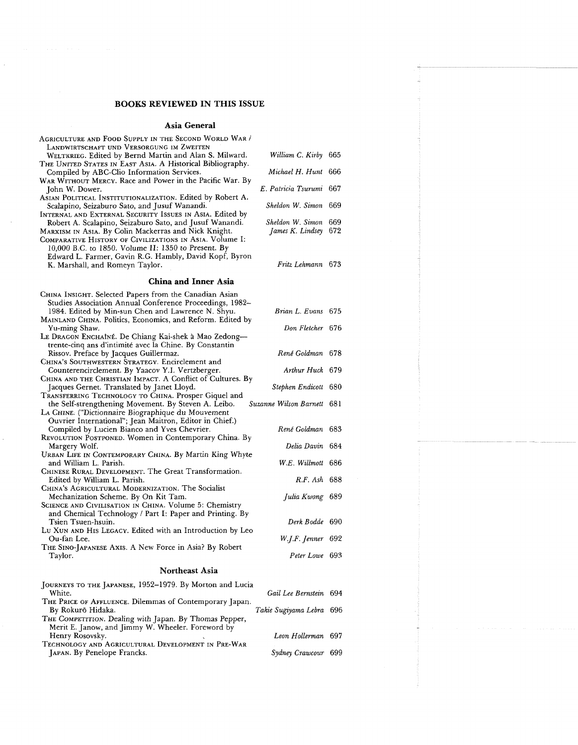### **Asia General**

| AGRICULTURE AND FOOD SUPPLY IN THE SECOND WORLD WAR /                                                                                                                                                                                                                                       |                                              |  |  |  |
|---------------------------------------------------------------------------------------------------------------------------------------------------------------------------------------------------------------------------------------------------------------------------------------------|----------------------------------------------|--|--|--|
| LANDWIRTSCHAFT UND VERSORGUNG IM ZWEITEN<br>WELTKRIEG. Edited by Bernd Martin and Alan S. Milward.<br>THE UNITED STATES IN EAST ASIA. A Historical Bibliography.                                                                                                                            | William C. Kirby 665                         |  |  |  |
| Compiled by ABC-Clio Information Services.                                                                                                                                                                                                                                                  | Michael H. Hunt 666                          |  |  |  |
| WAR WITHOUT MERCY. Race and Power in the Pacific War. By<br>John W. Dower.                                                                                                                                                                                                                  | E. Patricia Tsurumi 667                      |  |  |  |
| ASIAN POLITICAL INSTITUTIONALIZATION. Edited by Robert A.<br>Scalapino, Seizaburo Sato, and Jusuf Wanandi.<br>INTERNAL AND EXTERNAL SECURITY ISSUES IN ASIA. Edited by                                                                                                                      | Sheldon W. Simon 669                         |  |  |  |
| Robert A. Scalapino, Seizaburo Sato, and Jusuf Wanandi.<br>MARXISM IN ASIA. By Colin Mackerras and Nick Knight.<br>COMPARATIVE HISTORY OF CIVILIZATIONS IN ASIA. Volume I:<br>10,000 B.C. to 1850. Volume II: 1350 to Present. By<br>Edward L. Farmer, Gavin R.G. Hambly, David Kopf, Byron | Sheldon W. Simon 669<br>James K. Lindsey 672 |  |  |  |
| K. Marshall, and Romeyn Taylor.                                                                                                                                                                                                                                                             | Fritz Lehmann 673                            |  |  |  |
| <b>China and Inner Asia</b>                                                                                                                                                                                                                                                                 |                                              |  |  |  |
| CHINA INSIGHT. Selected Papers from the Canadian Asian                                                                                                                                                                                                                                      |                                              |  |  |  |
| Studies Association Annual Conference Proceedings, 1982–<br>1984. Edited by Min-sun Chen and Lawrence N. Shyu.<br>MAINLAND CHINA. Politics, Economics, and Reform. Edited by                                                                                                                | Brian L. Evans 675                           |  |  |  |
| Yu-ming Shaw.<br>LE DRAGON ENCHAÎNÉ. De Chiang Kai-shek à Mao Zedong-                                                                                                                                                                                                                       | Don Fletcher 676                             |  |  |  |
| trente-cinq ans d'intimité avec la Chine. By Constantin<br>Rissov. Preface by Jacques Guillermaz.<br>CHINA'S SOUTHWESTERN STRATEGY. Encirclement and                                                                                                                                        | René Goldman 678                             |  |  |  |
| Counterencirclement. By Yaacov Y.I. Vertzberger.                                                                                                                                                                                                                                            | Arthur Huck 679                              |  |  |  |
| CHINA AND THE CHRISTIAN IMPACT. A Conflict of Cultures. By<br>Jacques Gernet. Translated by Janet Lloyd.                                                                                                                                                                                    | Stephen Endicott 680                         |  |  |  |
| TRANSFERRING TECHNOLOGY TO CHINA. Prosper Giquel and<br>the Self-strengthening Movement. By Steven A. Leibo.                                                                                                                                                                                | Suzanne Wilson Barnett 681                   |  |  |  |
| LA CHINE. ("Dictionnaire Biographique du Mouvement<br>Ouvrier International"; Jean Maitron, Editor in Chief.)                                                                                                                                                                               |                                              |  |  |  |
| Compiled by Lucien Bianco and Yves Chevrier.<br>REVOLUTION POSTPONED. Women in Contemporary China. By                                                                                                                                                                                       | René Goldman 683                             |  |  |  |
| Margery Wolf.<br>URBAN LIFE IN CONTEMPORARY CHINA. By Martin King Whyte                                                                                                                                                                                                                     | Delia Davin 684                              |  |  |  |
| and William L. Parish.<br>CHINESE RURAL DEVELOPMENT. The Great Transformation.                                                                                                                                                                                                              | W.E. Willmott 686                            |  |  |  |
| Edited by William L. Parish.<br>CHINA'S AGRICULTURAL MODERNIZATION. The Socialist                                                                                                                                                                                                           | R.F. Ash 688                                 |  |  |  |
| Mechanization Scheme. By On Kit Tam.<br>SCIENCE AND CIVILISATION IN CHINA. Volume 5: Chemistry                                                                                                                                                                                              | Julia Kwong 689                              |  |  |  |
| and Chemical Technology / Part I: Paper and Printing. By<br>Tsien Tsuen-hsuin.<br>Lu Xun and His Legacy. Edited with an Introduction by Leo                                                                                                                                                 | Derk Bodde 690                               |  |  |  |
| Ou-fan Lee.                                                                                                                                                                                                                                                                                 | W.J.F. Jenner 692                            |  |  |  |
| THE SINO-JAPANESE AXIS. A New Force in Asia? By Robert<br>l'aylor.                                                                                                                                                                                                                          | Peter Lowe 693                               |  |  |  |
| Northeast Asia                                                                                                                                                                                                                                                                              |                                              |  |  |  |
| JOURNEYS TO THE JAPANESE, 1952-1979. By Morton and Lucia                                                                                                                                                                                                                                    |                                              |  |  |  |
| White.                                                                                                                                                                                                                                                                                      | Gail Lee Bernstein 694                       |  |  |  |
| THE PRICE OF AFFLUENCE. Dilemmas of Contemporary Japan.<br>By Rokuro Hidaka.<br>THE COMPETITION. Dealing with Japan. By Thomas Pepper,                                                                                                                                                      | Takie Sugiyama Lebra (696                    |  |  |  |
| Merit E. Janow, and Jimmy W. Wheeler. Foreword by<br>Henry Rosovsky                                                                                                                                                                                                                         | Leon Hollerman, 697                          |  |  |  |

Henry Rosovsky. *Lean Hollerman* 697 TECHNOLOGY AND AGRICULTURAL DEVELOPMENT IN PRE-WAR JAPAN. By Penelope Francks. *Sydney Crawcour* 699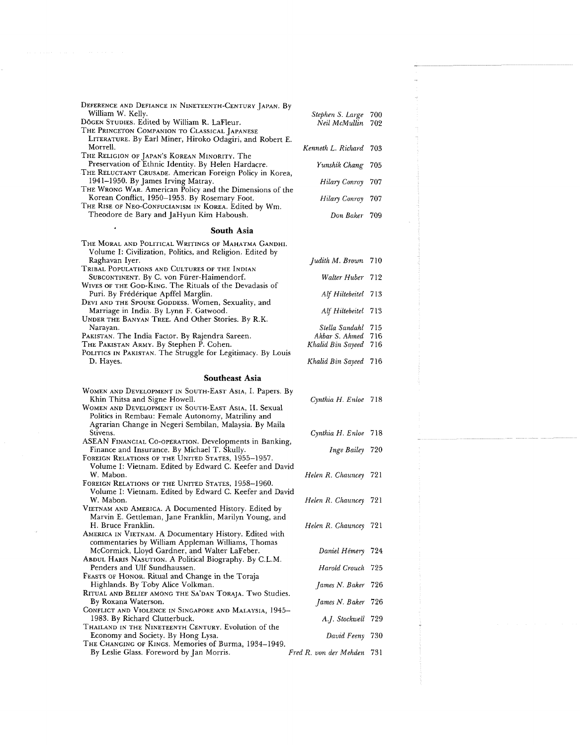| DEFERENCE AND DEFIANCE IN NINETEENTH-CENTURY JAPAN. By      |                        |      |
|-------------------------------------------------------------|------------------------|------|
| William W. Kelly.                                           | Stephen S. Large       | 700  |
| Dōgen Studies. Edited by William R. LaFleur.                | Neil McMullin          | 702  |
| THE PRINCETON COMPANION TO CLASSICAL JAPANESE               |                        |      |
| LITERATURE. By Earl Miner, Hiroko Odagiri, and Robert E.    |                        |      |
| Morrell.                                                    | Kenneth L. Richard     | 703  |
| THE RELIGION OF JAPAN'S KOREAN MINORITY. The                |                        |      |
| Preservation of Ethnic Identity. By Helen Hardacre.         | Yunshik Chang          | 705  |
| THE RELUCTANT CRUSADE. American Foreign Policy in Korea,    |                        |      |
| 1941–1950. By James Irving Matray.                          | Hilary Conroy          | 707  |
| THE WRONG WAR. American Policy and the Dimensions of the    |                        |      |
| Korean Conflict, 1950-1953. By Rosemary Foot.               | Hilary Conroy          | 707  |
| THE RISE OF NEO-CONFUCIANISM IN KOREA. Edited by Wm.        |                        |      |
| Theodore de Bary and JaHyun Kim Haboush.                    | Don Baker - 709        |      |
| South Asia                                                  |                        |      |
|                                                             |                        |      |
| The Moral and Political Writings of Mahatma Gandhi.         |                        |      |
| Volume I: Civilization, Politics, and Religion. Edited by   |                        |      |
| Raghavan Iyer.                                              | Judith M. Brown 710    |      |
| Tribal Populations and Cultures of the Indian               |                        |      |
| SUBCONTINENT. By C. von Fürer-Haimendorf.                   | Walter Huber 712       |      |
| WIVES OF THE GOD-KING. The Rituals of the Devadasis of      |                        |      |
| Puri. By Frédérique Apffel Marglin.                         | Alf Hiltebeitel 713    |      |
| DEVI AND THE SPOUSE GODDESS. Women, Sexuality, and          |                        |      |
| Marriage in India. By Lynn F. Gatwood.                      | Alf Hiltebeitel 713    |      |
| UNDER THE BANYAN TREE. And Other Stories. By R.K.           |                        |      |
| Narayan.                                                    | Stella Sandahl 715     |      |
| PAKISTAN. The India Factor. By Rajendra Sareen.             | Akbar S. Ahmed 716     |      |
| Tне Ракіѕтам Авму. By Stephen P. Cohen.                     | Khalid Bin Sayeed      | 716  |
| POLITICS IN PAKISTAN. The Struggle for Legitimacy. By Louis |                        |      |
| D. Hayes.                                                   | Khalid Bin Sayeed 716  |      |
| Southeast Asia                                              |                        |      |
|                                                             |                        |      |
| WOMEN AND DEVELOPMENT IN SOUTH-EAST ASIA, I. Papers. By     |                        |      |
| Khin Thitsa and Signe Howell.                               | Cynthia H. Enloe 718   |      |
| WOMEN AND DEVELOPMENT IN SOUTH-EAST ASIA, II. Sexual        |                        |      |
| Politics in Rembau: Female Autonomy, Matriliny and          |                        |      |
| Agrarian Change in Negeri Sembilan, Malaysia. By Maila      |                        |      |
| Stivens.                                                    | Cynthia H. Enloe 718   |      |
| ASEAN FINANCIAL CO-OPERATION. Developments in Banking,      |                        |      |
| Finance and Insurance. By Michael T. Skully.                | Inge Bailey 720        |      |
| FOREIGN RELATIONS OF THE UNITED STATES, 1955-1957.          |                        |      |
| Volume I: Vietnam. Edited by Edward C. Keefer and David     |                        |      |
| W. Mabon.                                                   | Helen R. Chauncey      | 721  |
| FOREIGN RELATIONS OF THE UNITED STATES, 1958-1960.          |                        |      |
| Volume I: Vietnam. Edited by Edward C. Keefer and David     |                        |      |
| W. Mabon.                                                   | Helen R. Chauncey 721  |      |
| VIETNAM AND AMERICA. A Documented History. Edited by        |                        |      |
| Marvin E. Gettleman, Jane Franklin, Marilyn Young, and      |                        |      |
| H. Bruce Franklin.                                          | Helen R. Chauncey 721  |      |
| AMERICA IN VIETNAM. A Documentary History. Edited with      |                        |      |
| commentaries by William Appleman Williams, Thomas           |                        |      |
| McCormick, Lloyd Gardner, and Walter LaFeber.               | Daniel Hémery          | -724 |
| ABDUL HARIS NASUTION. A Political Biography. By C.L.M.      |                        |      |
| Penders and Ulf Sundhaussen.                                | Harold Crouch          | 725  |
| FEASTS OF HONOR. Ritual and Change in the Toraja            |                        |      |
| Highlands. By Toby Alice Volkman.                           | James N. Baker 726     |      |
| RITUAL AND BELIEF AMONG THE SA'DAN TORAJA. TWO Studies.     |                        |      |
| By Roxana Waterson.                                         | James N. Baker         | -726 |
| CONFLICT AND VIOLENCE IN SINGAPORE AND MALAYSIA, 1945-      |                        |      |
| 1983. By Richard Clutterbuck.                               | A.J. Stockwell         | 729  |
| THAILAND IN THE NINETEENTH CENTURY. Evolution of the        |                        |      |
| Economy and Society. By Hong Lysa.                          | David Feeny            | 730  |
| THE CHANGING OF KINGS. Memories of Burma, 1934–1949.        |                        |      |
| By Leslie Glass. Foreword by Jan Morris.                    | Fred R. von der Mehden | 731  |
|                                                             |                        |      |

 $\sim 10^{-1}$